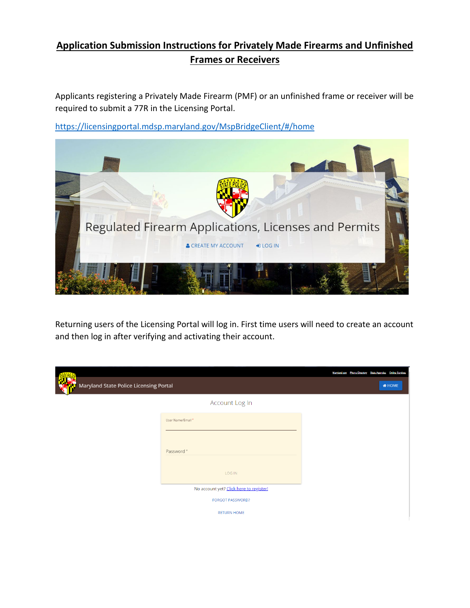## **Application Submission Instructions for Privately Made Firearms and Unfinished Frames or Receivers**

Applicants registering a Privately Made Firearm (PMF) or an unfinished frame or receiver will be required to submit a 77R in the Licensing Portal.

<https://licensingportal.mdsp.maryland.gov/MspBridgeClient/#/home>



Returning users of the Licensing Portal will log in. First time users will need to create an account and then log in after verifying and activating their account.

|                                               |                                         | Maryland.gov Phone Directory State Agencies Online Services |               |
|-----------------------------------------------|-----------------------------------------|-------------------------------------------------------------|---------------|
| <b>Maryland State Police Licensing Portal</b> |                                         |                                                             | <b>A</b> HOME |
|                                               | Account Log In                          |                                                             |               |
|                                               | User Name/Email*                        |                                                             |               |
|                                               |                                         |                                                             |               |
|                                               | Password*                               |                                                             |               |
|                                               | LOG IN                                  |                                                             |               |
|                                               | No account yet? Click here to register! |                                                             |               |
|                                               | <b>FORGOT PASSWORD?</b>                 |                                                             |               |
|                                               | <b>RETURN HOME</b>                      |                                                             |               |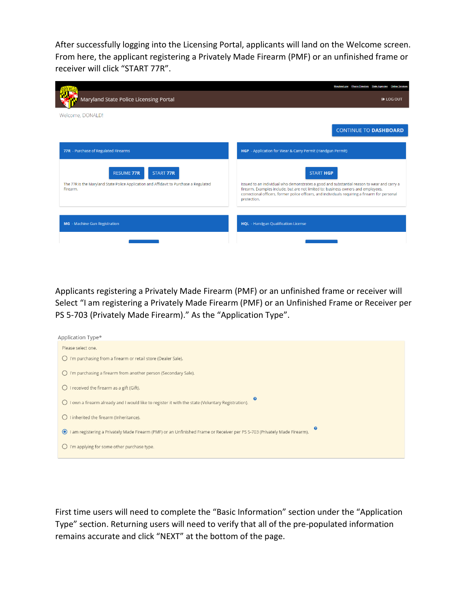After successfully logging into the Licensing Portal, applicants will land on the Welcome screen. From here, the applicant registering a Privately Made Firearm (PMF) or an unfinished frame or receiver will click "START 77R".

|                                                                                                                                             | <b>Phone Directory State Agencies</b><br>Marviand.cov<br><b>Online Services</b>                                                                                                                                                                                                                                       |
|---------------------------------------------------------------------------------------------------------------------------------------------|-----------------------------------------------------------------------------------------------------------------------------------------------------------------------------------------------------------------------------------------------------------------------------------------------------------------------|
| Maryland State Police Licensing Portal                                                                                                      | <b>E</b> LOG OUT                                                                                                                                                                                                                                                                                                      |
| Welcome, DONALD!                                                                                                                            |                                                                                                                                                                                                                                                                                                                       |
|                                                                                                                                             | <b>CONTINUE TO DASHBOARD</b>                                                                                                                                                                                                                                                                                          |
| 77R - Purchase of Regulated Firearms                                                                                                        | HGP - Application for Wear & Carry Permit (Handgun Permit)                                                                                                                                                                                                                                                            |
| <b>RESUME 77R</b><br><b>START 77R</b><br>The 77R is the Maryland State Police Application and Affidavit to Purchase a Regulated<br>Firearm. | <b>START HGP</b><br>Issued to an individual who demonstrates a good and substantial reason to wear and carry a<br>firearm. Examples include, but are not limited to: business owners and employees,<br>correctional officers, former police officers, and individuals requiring a firearm for personal<br>protection. |
| <b>MG</b> - Machine Gun Registration                                                                                                        | <b>HQL</b> - Handgun Qualification License                                                                                                                                                                                                                                                                            |
|                                                                                                                                             |                                                                                                                                                                                                                                                                                                                       |

Applicants registering a Privately Made Firearm (PMF) or an unfinished frame or receiver will Select "I am registering a Privately Made Firearm (PMF) or an Unfinished Frame or Receiver per PS 5-703 (Privately Made Firearm)." As the "Application Type".

| Application Type*                                                                                                                                             |
|---------------------------------------------------------------------------------------------------------------------------------------------------------------|
| Please select one.                                                                                                                                            |
| I'm purchasing from a firearm or retail store (Dealer Sale).<br>$\left( \right)$                                                                              |
| I'm purchasing a firearm from another person (Secondary Sale).<br>( )                                                                                         |
| I received the firearm as a gift (Gift).<br>( )                                                                                                               |
| ❸<br>I own a firearm already and I would like to register it with the state (Voluntary Registration).<br>$\left( \right)$                                     |
| I inherited the firearm (Inheritance).                                                                                                                        |
| $\boldsymbol{\Omega}$<br>I am registering a Privately Made Firearm (PMF) or an Unfinished Frame or Receiver per PS 5-703 (Privately Made Firearm).<br>$\odot$ |
| I'm applying for some other purchase type.                                                                                                                    |
|                                                                                                                                                               |

First time users will need to complete the "Basic Information" section under the "Application Type" section. Returning users will need to verify that all of the pre-populated information remains accurate and click "NEXT" at the bottom of the page.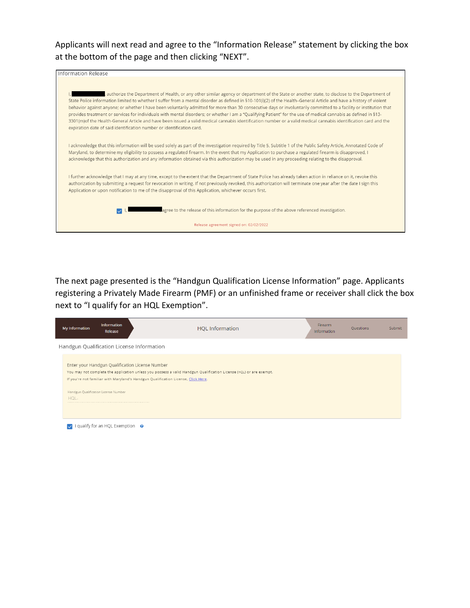Applicants will next read and agree to the "Information Release" statement by clicking the box at the bottom of the page and then clicking "NEXT".



The next page presented is the "Handgun Qualification License Information" page. Applicants registering a Privately Made Firearm (PMF) or an unfinished frame or receiver shall click the box next to "I qualify for an HQL Exemption".

| My Information                                  | Information<br>Release                             | <b>HQL</b> Information                                                                                                                                                                                                                                     | Firearm.<br>Information | Questions | <b>Submit</b> |
|-------------------------------------------------|----------------------------------------------------|------------------------------------------------------------------------------------------------------------------------------------------------------------------------------------------------------------------------------------------------------------|-------------------------|-----------|---------------|
|                                                 |                                                    | Handgun Qualification License Information                                                                                                                                                                                                                  |                         |           |               |
|                                                 |                                                    | Enter your Handgun Qualification License Number<br>You may not complete the application unless you possess a valid Handgun Qualification License (HQL) or are exempt.<br>If you're not familiar with Maryland's Handgun Qualification License, Click Here. |                         |           |               |
| Handgun Qualification License Number<br>$HQL -$ |                                                    |                                                                                                                                                                                                                                                            |                         |           |               |
|                                                 | $\bullet$ I qualify for an HQL Exemption $\bullet$ |                                                                                                                                                                                                                                                            |                         |           |               |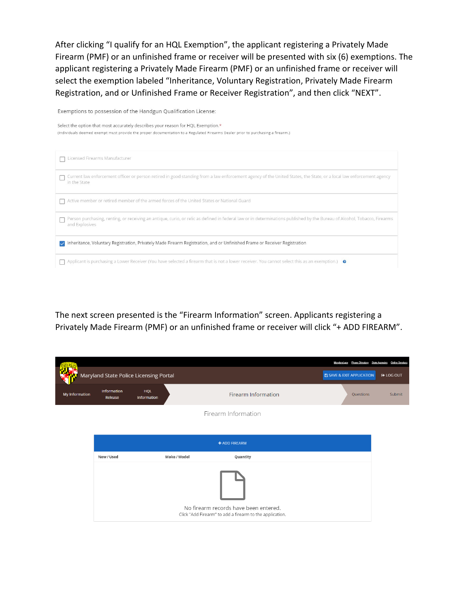After clicking "I qualify for an HQL Exemption", the applicant registering a Privately Made Firearm (PMF) or an unfinished frame or receiver will be presented with six (6) exemptions. The applicant registering a Privately Made Firearm (PMF) or an unfinished frame or receiver will select the exemption labeled "Inheritance, Voluntary Registration, Privately Made Firearm Registration, and or Unfinished Frame or Receiver Registration", and then click "NEXT".

Exemptions to possession of the Handgun Qualification License:

Select the option that most accurately describes your reason for HQL Exemption.\* (Individuals deemed exempt must provide the proper documentation to a Regulated Firearms Dealer prior to purchasing a firearm.)

| Licensed Firearms Manufacturer                                                                                                                                                              |
|---------------------------------------------------------------------------------------------------------------------------------------------------------------------------------------------|
| Current law enforcement officer or person retired in good standing from a law enforcement agency of the United States, the State, or a local law enforcement agency<br>in the State         |
| Active member or retired member of the armed forces of the United States or National Guard                                                                                                  |
| Person purchasing, renting, or receiving an antique, curio, or relic as defined in federal law or in determinations published by the Bureau of Alcohol, Tobacco, Firearms<br>and Explosives |
| Inheritance, Voluntary Registration, Privately Made Firearm Registration, and or Unfinished Frame or Receiver Registration<br>$\checkmark$                                                  |
| Applicant is purchasing a Lower Receiver (You have selected a firearm that is not a lower receiver. You cannot select this as an exemption.) $\bullet$                                      |

The next screen presented is the "Firearm Information" screen. Applicants registering a Privately Made Firearm (PMF) or an unfinished frame or receiver will click "+ ADD FIREARM".

|                |                        |                                        |                                                                                                   | Maryland.gov Phone Directory         | <b>Online Services</b><br><b>State Agencies</b> |
|----------------|------------------------|----------------------------------------|---------------------------------------------------------------------------------------------------|--------------------------------------|-------------------------------------------------|
|                |                        | Maryland State Police Licensing Portal |                                                                                                   | <b>E SAVE &amp; EXIT APPLICATION</b> | <b>■ LOG OUT</b>                                |
| My Information | Information<br>Release | <b>HQL</b><br>Information              | Firearm Information                                                                               | Questions                            | Submit                                          |
|                |                        |                                        | Firearm Information                                                                               |                                      |                                                 |
|                |                        |                                        |                                                                                                   |                                      |                                                 |
|                |                        |                                        | + ADD FIREARM                                                                                     |                                      |                                                 |
|                | New / Used             | Make / Model                           | Quantity                                                                                          |                                      |                                                 |
|                |                        |                                        | No firearm records have been entered.<br>Click "Add Firearm" to add a firearm to the application. |                                      |                                                 |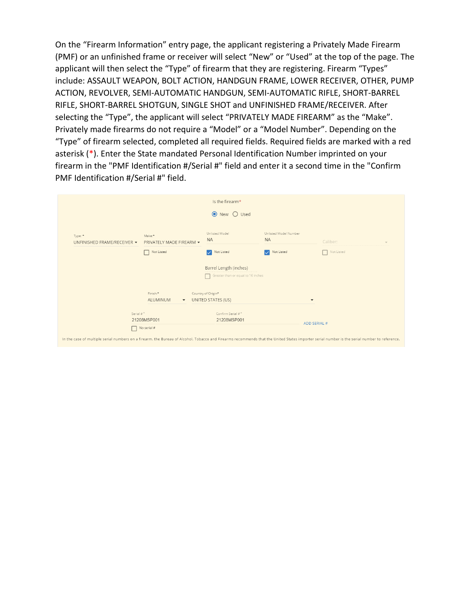On the "Firearm Information" entry page, the applicant registering a Privately Made Firearm (PMF) or an unfinished frame or receiver will select "New" or "Used" at the top of the page. The applicant will then select the "Type" of firearm that they are registering. Firearm "Types" include: ASSAULT WEAPON, BOLT ACTION, HANDGUN FRAME, LOWER RECEIVER, OTHER, PUMP ACTION, REVOLVER, SEMI-AUTOMATIC HANDGUN, SEMI-AUTOMATIC RIFLE, SHORT-BARREL RIFLE, SHORT-BARREL SHOTGUN, SINGLE SHOT and UNFINISHED FRAME/RECEIVER. After selecting the "Type", the applicant will select "PRIVATELY MADE FIREARM" as the "Make". Privately made firearms do not require a "Model" or a "Model Number". Depending on the "Type" of firearm selected, completed all required fields. Required fields are marked with a red asterisk (\*). Enter the State mandated Personal Identification Number imprinted on your firearm in the "PMF Identification #/Serial #" field and enter it a second time in the "Confirm PMF Identification #/Serial #" field.

|                                                                                                                                                                                              |                                              | Is the firearm*                          |                                    |                      |  |
|----------------------------------------------------------------------------------------------------------------------------------------------------------------------------------------------|----------------------------------------------|------------------------------------------|------------------------------------|----------------------|--|
|                                                                                                                                                                                              |                                              | ● New ○ Used                             |                                    |                      |  |
| Type: *<br>UNFINISHED FRAME/RECEIVER -                                                                                                                                                       | Make:*<br>PRIVATELY MADE FIREARM -           | Unlisted Model<br><b>NA</b>              | Unlisted Model Number<br><b>NA</b> | Caliber:             |  |
|                                                                                                                                                                                              | Not Listed                                   | Not Listed<br>▽                          | Not Listed<br>M                    | Not Listed           |  |
|                                                                                                                                                                                              |                                              | Barrel Length (inches)                   |                                    |                      |  |
|                                                                                                                                                                                              |                                              | Greater than or equal to 16 inches       |                                    |                      |  |
|                                                                                                                                                                                              | Finish:*<br>ALUMINUM<br>$\blacktriangledown$ | Country of Origin*<br>UNITED STATES (US) |                                    | $\blacktriangledown$ |  |
| Serial #*                                                                                                                                                                                    | 21208MSP001                                  | Confirm Serial #*<br>21208MSP001         |                                    | <b>ADD SERIAL #</b>  |  |
| In the case of multiple serial numbers on a firearm, the Bureau of Alcohol, Tobacco and Firearms recommends that the United States importer serial number is the serial number to reference. | No serial #                                  |                                          |                                    |                      |  |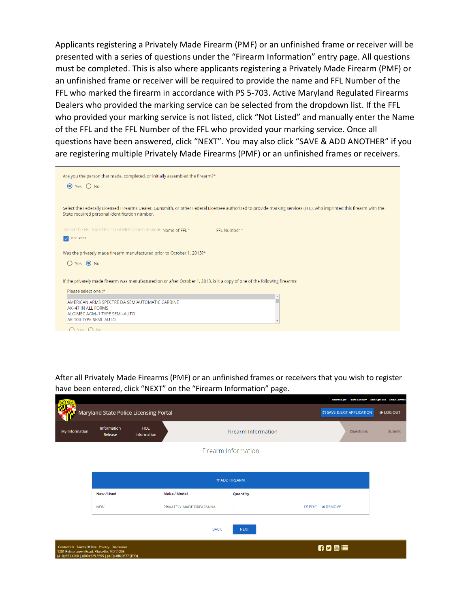Applicants registering a Privately Made Firearm (PMF) or an unfinished frame or receiver will be presented with a series of questions under the "Firearm Information" entry page. All questions must be completed. This is also where applicants registering a Privately Made Firearm (PMF) or an unfinished frame or receiver will be required to provide the name and FFL Number of the FFL who marked the firearm in accordance with PS 5-703. Active Maryland Regulated Firearms Dealers who provided the marking service can be selected from the dropdown list. If the FFL who provided your marking service is not listed, click "Not Listed" and manually enter the Name of the FFL and the FFL Number of the FFL who provided your marking service. Once all questions have been answered, click "NEXT". You may also click "SAVE & ADD ANOTHER" if you are registering multiple Privately Made Firearms (PMF) or an unfinished frames or receivers.

| Are you the person that made, completed, or initially assembled the firearm?*<br>$\odot$ Yes $\odot$ No                                                                                                                |  |
|------------------------------------------------------------------------------------------------------------------------------------------------------------------------------------------------------------------------|--|
| Select the Federally Licensed Firearms Dealer, Gunsmith, or other Federal Licensee authorized to provide marking services (FFL), who imprinted this firearm with the<br>State required personal identification number. |  |
| Select the FFL from this list of MD firearm dealers: Name of FFL *<br>FFL Number*                                                                                                                                      |  |
| Not Listed                                                                                                                                                                                                             |  |
| Was the privately made firearm manufactured prior to October 1, 2013?*<br>$O$ Yes $\odot$ No                                                                                                                           |  |
| If the privately made firearm was manufactured on or after October 1, 2013, is it a copy of one of the following firearms:                                                                                             |  |
| Please select one:*<br>AMERICAN ARMS SPECTRE DA SEMIAUTOMATIC CARBINE<br>AK-47 IN ALL FORMS<br>ALGIMEC AGM-1 TYPE SEMI-AUTO<br>AR 100 TYPE SEMI-AUTO                                                                   |  |
| $\bigcap$ Ves $\bigcap$ No.                                                                                                                                                                                            |  |

After all Privately Made Firearms (PMF) or an unfinished frames or receivers that you wish to register have been entered, click "NEXT" on the "Firearm Information" page.

|                                                                                            | Maryland State Police Licensing Portal                 |                    |                           |                            | Maryland.gov Phone Directory State Agencies Online Services<br><b>E SAVE &amp; EXIT APPLICATION</b> | <b>E</b> LOG OUT |
|--------------------------------------------------------------------------------------------|--------------------------------------------------------|--------------------|---------------------------|----------------------------|-----------------------------------------------------------------------------------------------------|------------------|
| My Information                                                                             | Information<br>Release                                 | HQL<br>Information |                           | <b>Firearm Information</b> | Questions                                                                                           | Submit           |
|                                                                                            |                                                        |                    |                           | Firearm Information        |                                                                                                     |                  |
|                                                                                            |                                                        |                    |                           | + ADD FIREARM              |                                                                                                     |                  |
|                                                                                            | New / Used                                             |                    | <b>Make / Model</b>       | Quantity                   |                                                                                                     |                  |
|                                                                                            | <b>NEW</b>                                             |                    | PRIVATELY MADE FIREARM/NA | 1                          | <b>EX EDIT X REMOVE</b>                                                                             |                  |
|                                                                                            |                                                        |                    | <b>BACK</b>               | <b>NEXT</b>                |                                                                                                     |                  |
| Contact Us Terms Of Use Privacy Disclaimer<br>1201 Reisterstown Road, Pikesville, MD 21208 | (410) 653.4200   (800) 525.5555   (410) 486.0677 (TDD) |                    |                           |                            | 6000 三                                                                                              |                  |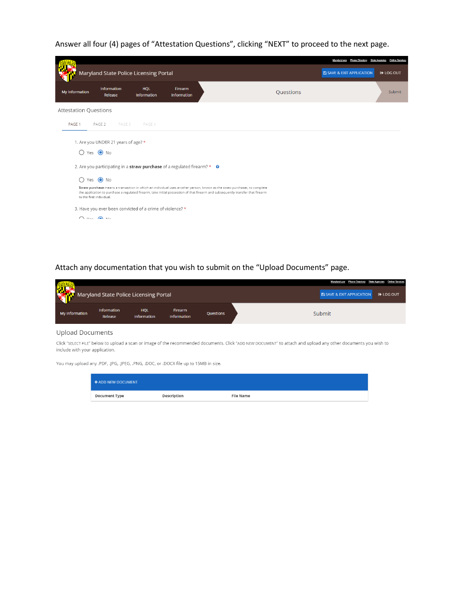Answer all four (4) pages of "Attestation Questions", clicking "NEXT" to proceed to the next page.

|                              |                                     |                                                                                        |                        |                                                                                                                                                                                                                                                             |           | Maryland.gov Phone Directory State Agencies Online Services |                  |
|------------------------------|-------------------------------------|----------------------------------------------------------------------------------------|------------------------|-------------------------------------------------------------------------------------------------------------------------------------------------------------------------------------------------------------------------------------------------------------|-----------|-------------------------------------------------------------|------------------|
|                              |                                     | Maryland State Police Licensing Portal                                                 |                        |                                                                                                                                                                                                                                                             |           | <b>E SAVE &amp; EXIT APPLICATION</b>                        | <b>E</b> LOG OUT |
| My Information               | Information<br>Release              | HQL<br>Information                                                                     | Firearm<br>Information |                                                                                                                                                                                                                                                             | Questions |                                                             | Submit           |
| <b>Attestation Questions</b> |                                     |                                                                                        |                        |                                                                                                                                                                                                                                                             |           |                                                             |                  |
| PAGE 1                       | PAGE 3<br>PAGE 2                    | PAGE 4                                                                                 |                        |                                                                                                                                                                                                                                                             |           |                                                             |                  |
|                              | 1. Are you UNDER 21 years of age? * |                                                                                        |                        |                                                                                                                                                                                                                                                             |           |                                                             |                  |
|                              | ○ Yes ● No                          |                                                                                        |                        |                                                                                                                                                                                                                                                             |           |                                                             |                  |
|                              |                                     | 2. Are you participating in a straw purchase of a regulated firearm? $* \quad \bullet$ |                        |                                                                                                                                                                                                                                                             |           |                                                             |                  |
| ◯                            | Yes $\bigcirc$ No                   |                                                                                        |                        |                                                                                                                                                                                                                                                             |           |                                                             |                  |
|                              | to the first individual.            |                                                                                        |                        | Straw purchase means a transaction in which an individual uses another person, known as the straw purchaser, to complete<br>the application to purchase a regulated firearm, take initial possession of that firearm and subsequently transfer that firearm |           |                                                             |                  |
|                              |                                     | 3. Have you ever been convicted of a crime of violence? *                              |                        |                                                                                                                                                                                                                                                             |           |                                                             |                  |
|                              | $Q$ Vec $Q$ No.                     |                                                                                        |                        |                                                                                                                                                                                                                                                             |           |                                                             |                  |
|                              |                                     |                                                                                        |                        |                                                                                                                                                                                                                                                             |           |                                                             |                  |

## Attach any documentation that you wish to submit on the "Upload Documents" page.

| 難              | Maryland State Police Licensing Portal |                           |                                      |                  | Maryland.gov Phone Directory State Agencies Online Services<br><b>B SAVE &amp; EXIT APPLICATION</b><br><b>■ LOG OUT</b> |
|----------------|----------------------------------------|---------------------------|--------------------------------------|------------------|-------------------------------------------------------------------------------------------------------------------------|
| My Information | Information<br>Release                 | HQL<br><b>Information</b> | <b>Firearm</b><br><b>Information</b> | <b>Ouestions</b> | Submit                                                                                                                  |

## **Upload Documents**

Click "SELECT FILE" below to upload a scan or image of the recommended documents. Click "ADD NEW DOCUMENT" to attach and upload any other documents you wish to include with your application.

You may upload any .PDF, .JPG, .JPEG, .PNG, .DOC, or .DOCX file up to 15MB in size.

| <b>+ ADD NEW DOCUMENT</b> |             |                  |
|---------------------------|-------------|------------------|
| <b>Document Type</b>      | Description | <b>File Name</b> |